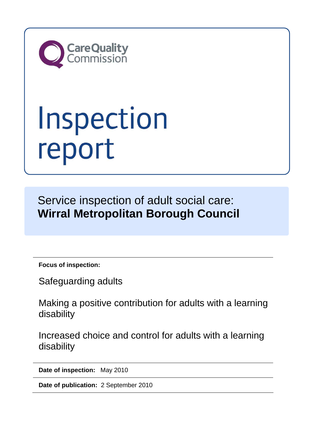

# Inspection<br>report

Service inspection of adult social care: **Wirral Metropolitan Borough Council** 

**Focus of inspection:** 

Safeguarding adults

Making a positive contribution for adults with a learning disability

Increased choice and control for adults with a learning disability

**Date of inspection:** May 2010

**Date of publication:** 2 September 2010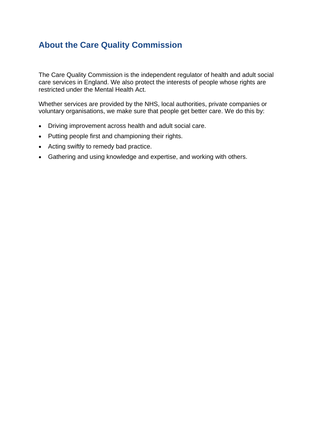# **About the Care Quality Commission**

The Care Quality Commission is the independent regulator of health and adult social care services in England. We also protect the interests of people whose rights are restricted under the Mental Health Act.

Whether services are provided by the NHS, local authorities, private companies or voluntary organisations, we make sure that people get better care. We do this by:

- Driving improvement across health and adult social care.
- Putting people first and championing their rights.
- Acting swiftly to remedy bad practice.
- Gathering and using knowledge and expertise, and working with others.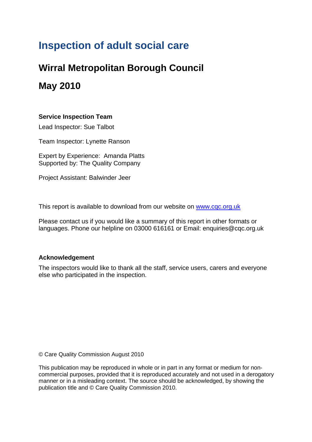# **Inspection of adult social care**

# **Wirral Metropolitan Borough Council**

# **May 2010**

## **Service Inspection Team**

Lead Inspector: Sue Talbot

Team Inspector: Lynette Ranson

Expert by Experience: Amanda Platts Supported by: The Quality Company

Project Assistant: Balwinder Jeer

This report is available to download from our website on [www.cqc.org.uk](http://www.cqc.org.uk/)

Please contact us if you would like a summary of this report in other formats or languages. Phone our helpline on 03000 616161 or Email: enquiries@cqc.org.uk

## **Acknowledgement**

The inspectors would like to thank all the staff, service users, carers and everyone else who participated in the inspection.

© Care Quality Commission August 2010

This publication may be reproduced in whole or in part in any format or medium for noncommercial purposes, provided that it is reproduced accurately and not used in a derogatory manner or in a misleading context. The source should be acknowledged, by showing the publication title and © Care Quality Commission 2010.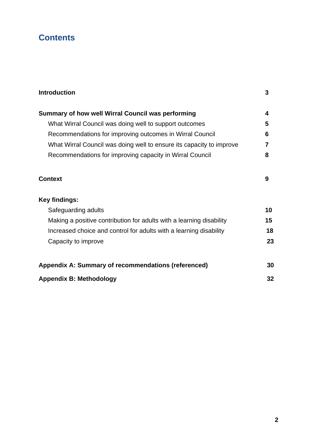# **Contents**

| Summary of how well Wirral Council was performing                    | 4  |
|----------------------------------------------------------------------|----|
| What Wirral Council was doing well to support outcomes               | 5  |
| Recommendations for improving outcomes in Wirral Council             | 6  |
| What Wirral Council was doing well to ensure its capacity to improve | 7  |
| Recommendations for improving capacity in Wirral Council             | 8  |
| Context                                                              | 9  |
| <b>Key findings:</b>                                                 |    |
| Safeguarding adults                                                  | 10 |
| Making a positive contribution for adults with a learning disability | 15 |
| Increased choice and control for adults with a learning disability   | 18 |
| Capacity to improve                                                  | 23 |
| Appendix A: Summary of recommendations (referenced)                  | 30 |
| <b>Appendix B: Methodology</b>                                       | 32 |

**Introduction 3**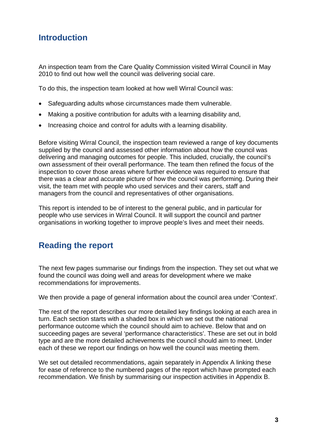# **Introduction**

An inspection team from the Care Quality Commission visited Wirral Council in May 2010 to find out how well the council was delivering social care.

To do this, the inspection team looked at how well Wirral Council was:

- Safeguarding adults whose circumstances made them vulnerable.
- Making a positive contribution for adults with a learning disability and,
- Increasing choice and control for adults with a learning disability.

Before visiting Wirral Council, the inspection team reviewed a range of key documents supplied by the council and assessed other information about how the council was delivering and managing outcomes for people. This included, crucially, the council's own assessment of their overall performance. The team then refined the focus of the inspection to cover those areas where further evidence was required to ensure that there was a clear and accurate picture of how the council was performing. During their visit, the team met with people who used services and their carers, staff and managers from the council and representatives of other organisations.

This report is intended to be of interest to the general public, and in particular for people who use services in Wirral Council. It will support the council and partner organisations in working together to improve people's lives and meet their needs.

# **Reading the report**

The next few pages summarise our findings from the inspection. They set out what we found the council was doing well and areas for development where we make recommendations for improvements.

We then provide a page of general information about the council area under 'Context'.

The rest of the report describes our more detailed key findings looking at each area in turn. Each section starts with a shaded box in which we set out the national performance outcome which the council should aim to achieve. Below that and on succeeding pages are several 'performance characteristics'. These are set out in bold type and are the more detailed achievements the council should aim to meet. Under each of these we report our findings on how well the council was meeting them.

We set out detailed recommendations, again separately in Appendix A linking these for ease of reference to the numbered pages of the report which have prompted each recommendation. We finish by summarising our inspection activities in Appendix B.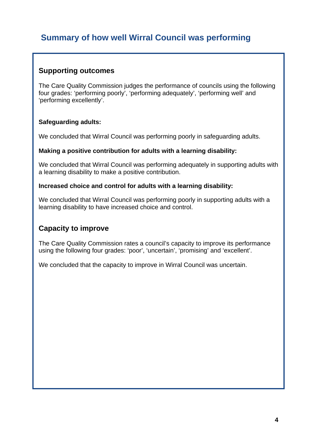# **Summary of how well Wirral Council was performing**

## **Supporting outcomes**

The Care Quality Commission judges the performance of councils using the following four grades: 'performing poorly', 'performing adequately', 'performing well' and 'performing excellently'.

## **Safeguarding adults:**

We concluded that Wirral Council was performing poorly in safeguarding adults.

#### **Making a positive contribution for adults with a learning disability:**

We concluded that Wirral Council was performing adequately in supporting adults with a learning disability to make a positive contribution.

#### **Increased choice and control for adults with a learning disability:**

We concluded that Wirral Council was performing poorly in supporting adults with a learning disability to have increased choice and control.

## **Capacity to improve**

The Care Quality Commission rates a council's capacity to improve its performance using the following four grades: 'poor', 'uncertain', 'promising' and 'excellent'.

We concluded that the capacity to improve in Wirral Council was uncertain.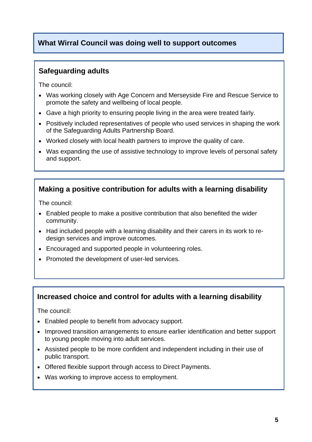## **What Wirral Council was doing well to support outcomes**

## **Safeguarding adults**

The council:

- Was working closely with Age Concern and Merseyside Fire and Rescue Service to promote the safety and wellbeing of local people.
- Gave a high priority to ensuring people living in the area were treated fairly.
- Positively included representatives of people who used services in shaping the work of the Safeguarding Adults Partnership Board.
- Worked closely with local health partners to improve the quality of care.
- Was expanding the use of assistive technology to improve levels of personal safety and support.

## **Making a positive contribution for adults with a learning disability**

The council:

- Enabled people to make a positive contribution that also benefited the wider community.
- Had included people with a learning disability and their carers in its work to redesign services and improve outcomes.
- Encouraged and supported people in volunteering roles.
- Promoted the development of user-led services.

## **Increased choice and control for adults with a learning disability**

The council:

- Enabled people to benefit from advocacy support.
- Improved transition arrangements to ensure earlier identification and better support to young people moving into adult services.
- Assisted people to be more confident and independent including in their use of public transport.
- Offered flexible support through access to Direct Payments.
- Was working to improve access to employment.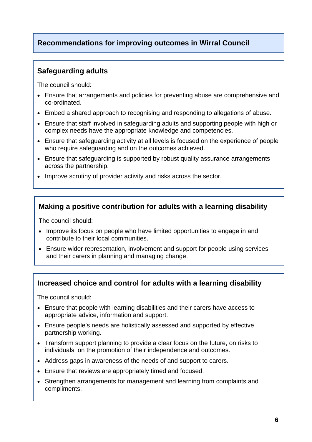# **Recommendations for improving outcomes in Wirral Council**

## **Safeguarding adults**

The council should:

- Ensure that arrangements and policies for preventing abuse are comprehensive and co-ordinated.
- Embed a shared approach to recognising and responding to allegations of abuse.
- Ensure that staff involved in safeguarding adults and supporting people with high or complex needs have the appropriate knowledge and competencies.
- Ensure that safeguarding activity at all levels is focused on the experience of people who require safeguarding and on the outcomes achieved.
- Ensure that safeguarding is supported by robust quality assurance arrangements across the partnership.
- Improve scrutiny of provider activity and risks across the sector.

## **Making a positive contribution for adults with a learning disability**

The council should:

- Improve its focus on people who have limited opportunities to engage in and contribute to their local communities.
- Ensure wider representation, involvement and support for people using services and their carers in planning and managing change.

## **Increased choice and control for adults with a learning disability**

The council should:

- Ensure that people with learning disabilities and their carers have access to appropriate advice, information and support.
- Ensure people's needs are holistically assessed and supported by effective partnership working.
- Transform support planning to provide a clear focus on the future, on risks to individuals, on the promotion of their independence and outcomes.
- Address gaps in awareness of the needs of and support to carers.
- Ensure that reviews are appropriately timed and focused.
- Strengthen arrangements for management and learning from complaints and compliments.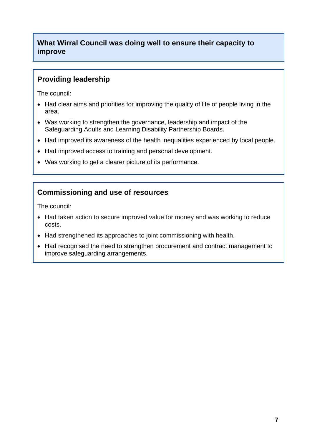## **What Wirral Council was doing well to ensure their capacity to improve**

## **Providing leadership**

The council:

- Had clear aims and priorities for improving the quality of life of people living in the area.
- Was working to strengthen the governance, leadership and impact of the Safeguarding Adults and Learning Disability Partnership Boards.
- Had improved its awareness of the health inequalities experienced by local people.
- Had improved access to training and personal development.
- Was working to get a clearer picture of its performance.

## **Commissioning and use of resources**

The council:

- Had taken action to secure improved value for money and was working to reduce costs.
- Had strengthened its approaches to joint commissioning with health.
- Had recognised the need to strengthen procurement and contract management to improve safeguarding arrangements.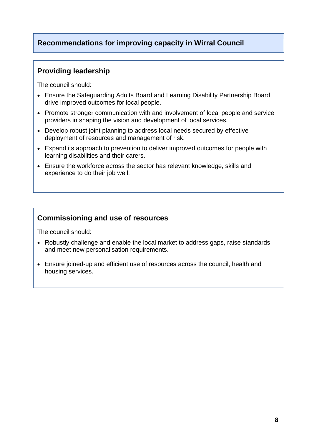## **Recommendations for improving capacity in Wirral Council**

## **Providing leadership**

The council should:

- Ensure the Safeguarding Adults Board and Learning Disability Partnership Board drive improved outcomes for local people.
- Promote stronger communication with and involvement of local people and service providers in shaping the vision and development of local services.
- Develop robust joint planning to address local needs secured by effective deployment of resources and management of risk.
- Expand its approach to prevention to deliver improved outcomes for people with learning disabilities and their carers.
- Ensure the workforce across the sector has relevant knowledge, skills and experience to do their job well.

## **Commissioning and use of resources**

The council should:

- Robustly challenge and enable the local market to address gaps, raise standards and meet new personalisation requirements.
- Ensure joined-up and efficient use of resources across the council, health and housing services.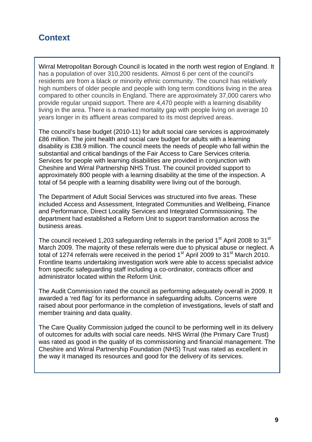# **Context**

Wirral Metropolitan Borough Council is located in the north west region of England. It has a population of over 310,200 residents. Almost 6 per cent of the council's residents are from a black or minority ethnic community. The council has relatively high numbers of older people and people with long term conditions living in the area compared to other councils in England. There are approximately 37,000 carers who provide regular unpaid support. There are 4,470 people with a learning disability living in the area. There is a marked mortality gap with people living on average 10 years longer in its affluent areas compared to its most deprived areas.

The council's base budget (2010-11) for adult social care services is approximately £86 million. The joint health and social care budget for adults with a learning disability is £38.9 million. The council meets the needs of people who fall within the substantial and critical bandings of the Fair Access to Care Services criteria. Services for people with learning disabilities are provided in conjunction with Cheshire and Wirral Partnership NHS Trust. The council provided support to approximately 800 people with a learning disability at the time of the inspection. A total of 54 people with a learning disability were living out of the borough.

The Department of Adult Social Services was structured into five areas. These included Access and Assessment, Integrated Communities and Wellbeing, Finance and Performance, Direct Locality Services and Integrated Commissioning. The department had established a Reform Unit to support transformation across the business areas.

The council received 1,203 safeguarding referrals in the period 1<sup>st</sup> April 2008 to 31<sup>st</sup> March 2009. The majority of these referrals were due to physical abuse or neglect. A total of 1274 referrals were received in the period  $1<sup>st</sup>$  April 2009 to 31 $<sup>st</sup>$  March 2010.</sup> Frontline teams undertaking investigation work were able to access specialist advice from specific safeguarding staff including a co-ordinator, contracts officer and administrator located within the Reform Unit.

The Audit Commission rated the council as performing adequately overall in 2009. It awarded a 'red flag' for its performance in safeguarding adults. Concerns were raised about poor performance in the completion of investigations, levels of staff and member training and data quality.

The Care Quality Commission judged the council to be performing well in its delivery of outcomes for adults with social care needs. NHS Wirral (the Primary Care Trust) was rated as good in the quality of its commissioning and financial management. The Cheshire and Wirral Partnership Foundation (NHS) Trust was rated as excellent in the way it managed its resources and good for the delivery of its services.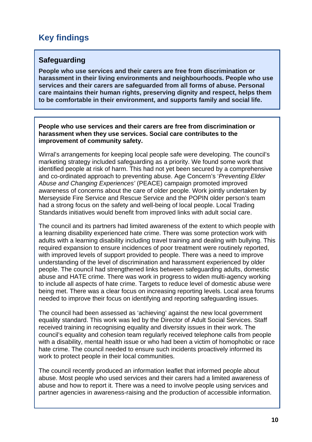# **Key findings**

## **Safeguarding**

**People who use services and their carers are free from discrimination or harassment in their living environments and neighbourhoods. People who use services and their carers are safeguarded from all forms of abuse. Personal care maintains their human rights, preserving dignity and respect, helps them to be comfortable in their environment, and supports family and social life.**

**People who use services and their carers are free from discrimination or harassment when they use services. Social care contributes to the improvement of community safety.** 

Wirral's arrangements for keeping local people safe were developing. The council's marketing strategy included safeguarding as a priority. We found some work that identified people at risk of harm. This had not yet been secured by a comprehensive and co-ordinated approach to preventing abuse. Age Concern's '*Preventing Elder Abuse and Changing Experiences'* (PEACE) campaign promoted improved awareness of concerns about the care of older people. Work jointly undertaken by Merseyside Fire Service and Rescue Service and the POPIN older person's team had a strong focus on the safety and well-being of local people. Local Trading Standards initiatives would benefit from improved links with adult social care.

The council and its partners had limited awareness of the extent to which people with a learning disability experienced hate crime. There was some protection work with adults with a learning disability including travel training and dealing with bullying. This required expansion to ensure incidences of poor treatment were routinely reported, with improved levels of support provided to people. There was a need to improve understanding of the level of discrimination and harassment experienced by older people. The council had strengthened links between safeguarding adults, domestic abuse and HATE crime. There was work in progress to widen multi-agency working to include all aspects of hate crime. Targets to reduce level of domestic abuse were being met. There was a clear focus on increasing reporting levels. Local area forums needed to improve their focus on identifying and reporting safeguarding issues.

The council had been assessed as 'achieving' against the new local government equality standard. This work was led by the Director of Adult Social Services. Staff received training in recognising equality and diversity issues in their work. The council's equality and cohesion team regularly received telephone calls from people with a disability, mental health issue or who had been a victim of homophobic or race hate crime. The council needed to ensure such incidents proactively informed its work to protect people in their local communities.

The council recently produced an information leaflet that informed people about abuse. Most people who used services and their carers had a limited awareness of abuse and how to report it. There was a need to involve people using services and partner agencies in awareness-raising and the production of accessible information.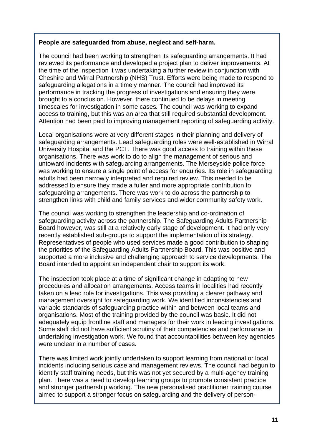#### **People are safeguarded from abuse, neglect and self-harm.**

The council had been working to strengthen its safeguarding arrangements. It had reviewed its performance and developed a project plan to deliver improvements. At the time of the inspection it was undertaking a further review in conjunction with Cheshire and Wirral Partnership (NHS) Trust. Efforts were being made to respond to safeguarding allegations in a timely manner. The council had improved its performance in tracking the progress of investigations and ensuring they were brought to a conclusion. However, there continued to be delays in meeting timescales for investigation in some cases*.* The council was working to expand access to training, but this was an area that still required substantial development. Attention had been paid to improving management reporting of safeguarding activity.

Local organisations were at very different stages in their planning and delivery of safeguarding arrangements. Lead safeguarding roles were well-established in Wirral University Hospital and the PCT. There was good access to training within these organisations. There was work to do to align the management of serious and untoward incidents with safeguarding arrangements. The Merseyside police force was working to ensure a single point of access for enquiries. Its role in safeguarding adults had been narrowly interpreted and required review. This needed to be addressed to ensure they made a fuller and more appropriate contribution to safeguarding arrangements. There was work to do across the partnership to strengthen links with child and family services and wider community safety work.

The council was working to strengthen the leadership and co-ordination of safeguarding activity across the partnership. The Safeguarding Adults Partnership Board however, was still at a relatively early stage of development. It had only very recently established sub-groups to support the implementation of its strategy. Representatives of people who used services made a good contribution to shaping the priorities of the Safeguarding Adults Partnership Board. This was positive and supported a more inclusive and challenging approach to service developments. The Board intended to appoint an independent chair to support its work.

The inspection took place at a time of significant change in adapting to new procedures and allocation arrangements. Access teams in localities had recently taken on a lead role for investigations. This was providing a clearer pathway and management oversight for safeguarding work. We identified inconsistencies and variable standards of safeguarding practice within and between local teams and organisations. Most of the training provided by the council was basic. It did not adequately equip frontline staff and managers for their work in leading investigations. Some staff did not have sufficient scrutiny of their competencies and performance in undertaking investigation work. We found that accountabilities between key agencies were unclear in a number of cases.

There was limited work jointly undertaken to support learning from national or local incidents including serious case and management reviews. The council had begun to identify staff training needs, but this was not yet secured by a multi-agency training plan. There was a need to develop learning groups to promote consistent practice and stronger partnership working. The new personalised practitioner training course aimed to support a stronger focus on safeguarding and the delivery of person-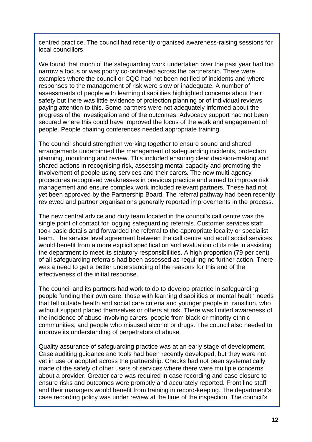centred practice. The council had recently organised awareness-raising sessions for local councillors.

We found that much of the safeguarding work undertaken over the past year had too narrow a focus or was poorly co-ordinated across the partnership. There were examples where the council or CQC had not been notified of incidents and where responses to the management of risk were slow or inadequate. A number of assessments of people with learning disabilities highlighted concerns about their safety but there was little evidence of protection planning or of individual reviews paying attention to this. Some partners were not adequately informed about the progress of the investigation and of the outcomes. Advocacy support had not been secured where this could have improved the focus of the work and engagement of people. People chairing conferences needed appropriate training.

The council should strengthen working together to ensure sound and shared arrangements underpinned the management of safeguarding incidents, protection planning, monitoring and review. This included ensuring clear decision-making and shared actions in recognising risk, assessing mental capacity and promoting the involvement of people using services and their carers*.* The new multi-agency procedures recognised weaknesses in previous practice and aimed to improve risk management and ensure complex work included relevant partners. These had not yet been approved by the Partnership Board. The referral pathway had been recently reviewed and partner organisations generally reported improvements in the process.

The new central advice and duty team located in the council's call centre was the single point of contact for logging safeguarding referrals. Customer services staff took basic details and forwarded the referral to the appropriate locality or specialist team. The service level agreement between the call centre and adult social services would benefit from a more explicit specification and evaluation of its role in assisting the department to meet its statutory responsibilities. A high proportion (79 per cent) of all safeguarding referrals had been assessed as requiring no further action. There was a need to get a better understanding of the reasons for this and of the effectiveness of the initial response.

The council and its partners had work to do to develop practice in safeguarding people funding their own care, those with learning disabilities or mental health needs that fell outside health and social care criteria and younger people in transition, who without support placed themselves or others at risk. There was limited awareness of the incidence of abuse involving carers, people from black or minority ethnic communities, and people who misused alcohol or drugs. The council also needed to improve its understanding of perpetrators of abuse.

Quality assurance of safeguarding practice was at an early stage of development. Case auditing guidance and tools had been recently developed, but they were not yet in use or adopted across the partnership. Checks had not been systematically made of the safety of other users of services where there were multiple concerns about a provider. Greater care was required in case recording and case closure to ensure risks and outcomes were promptly and accurately reported. Front line staff and their managers would benefit from training in record-keeping. The department's case recording policy was under review at the time of the inspection. The council's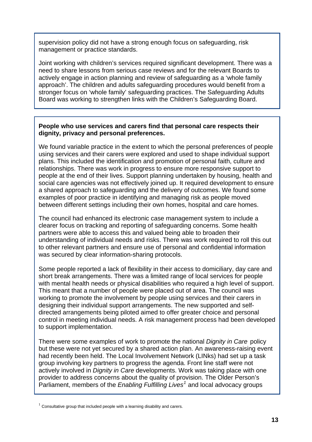supervision policy did not have a strong enough focus on safeguarding, risk management or practice standards.

Joint working with children's services required significant development. There was a need to share lessons from serious case reviews and for the relevant Boards to actively engage in action planning and review of safeguarding as a 'whole family approach'. The children and adults safeguarding procedures would benefit from a stronger focus on 'whole family' safeguarding practices. The Safeguarding Adults Board was working to strengthen links with the Children's Safeguarding Board.

#### **People who use services and carers find that personal care respects their dignity, privacy and personal preferences.**

We found variable practice in the extent to which the personal preferences of people using services and their carers were explored and used to shape individual support plans. This included the identification and promotion of personal faith, culture and relationships. There was work in progress to ensure more responsive support to people at the end of their lives. Support planning undertaken by housing, health and social care agencies was not effectively joined up. It required development to ensure a shared approach to safeguarding and the delivery of outcomes. We found some examples of poor practice in identifying and managing risk as people moved between different settings including their own homes, hospital and care homes.

The council had enhanced its electronic case management system to include a clearer focus on tracking and reporting of safeguarding concerns. Some health partners were able to access this and valued being able to broaden their understanding of individual needs and risks. There was work required to roll this out to other relevant partners and ensure use of personal and confidential information was secured by clear information-sharing protocols.

Some people reported a lack of flexibility in their access to domiciliary, day care and short break arrangements. There was a limited range of local services for people with mental health needs or physical disabilities who required a high level of support. This meant that a number of people were placed out of area. The council was working to promote the involvement by people using services and their carers in designing their individual support arrangements. The new supported and selfdirected arrangements being piloted aimed to offer greater choice and personal control in meeting individual needs. A risk management process had been developed to support implementation.

There were some examples of work to promote the national *Dignity in Care* policy but these were not yet secured by a shared action plan. An awareness-raising event had recently been held. The Local Involvement Network (LINks) had set up a task group involving key partners to progress the agenda. Front line staff were not actively involved in *Dignity in Care* developments. Work was taking place with one provider to address concerns about the quality of provision. The Older Person's Parliament, members of the *Enabling Fulfilling Lives[1](#page-14-0)* and local advocacy groups

<span id="page-14-0"></span> $1$  Consultative group that included people with a learning disability and carers.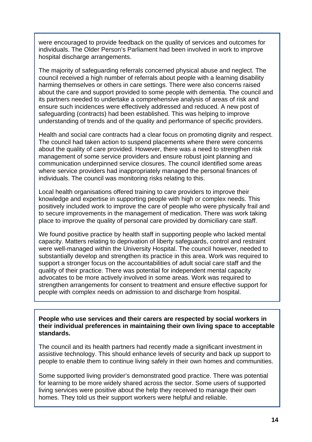were encouraged to provide feedback on the quality of services and outcomes for individuals. The Older Person's Parliament had been involved in work to improve hospital discharge arrangements.

The majority of safeguarding referrals concerned physical abuse and neglect. The council received a high number of referrals about people with a learning disability harming themselves or others in care settings. There were also concerns raised about the care and support provided to some people with dementia. The council and its partners needed to undertake a comprehensive analysis of areas of risk and ensure such incidences were effectively addressed and reduced. A new post of safeguarding (contracts) had been established. This was helping to improve understanding of trends and of the quality and performance of specific providers.

Health and social care contracts had a clear focus on promoting dignity and respect. The council had taken action to suspend placements where there were concerns about the quality of care provided. However, there was a need to strengthen risk management of some service providers and ensure robust joint planning and communication underpinned service closures. The council identified some areas where service providers had inappropriately managed the personal finances of individuals. The council was monitoring risks relating to this.

Local health organisations offered training to care providers to improve their knowledge and expertise in supporting people with high or complex needs. This positively included work to improve the care of people who were physically frail and to secure improvements in the management of medication. There was work taking place to improve the quality of personal care provided by domiciliary care staff.

We found positive practice by health staff in supporting people who lacked mental capacity. Matters relating to deprivation of liberty safeguards, control and restraint were well-managed within the University Hospital. The council however, needed to substantially develop and strengthen its practice in this area. Work was required to support a stronger focus on the accountabilities of adult social care staff and the quality of their practice. There was potential for independent mental capacity advocates to be more actively involved in some areas. Work was required to strengthen arrangements for consent to treatment and ensure effective support for people with complex needs on admission to and discharge from hospital.

**People who use services and their carers are respected by social workers in their individual preferences in maintaining their own living space to acceptable standards.** 

The council and its health partners had recently made a significant investment in assistive technology. This should enhance levels of security and back up support to people to enable them to continue living safely in their own homes and communities.

Some supported living provider's demonstrated good practice. There was potential for learning to be more widely shared across the sector. Some users of supported living services were positive about the help they received to manage their own homes. They told us their support workers were helpful and reliable.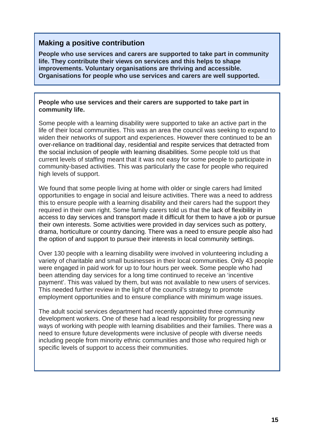## **Making a positive contribution**

**People who use services and carers are supported to take part in community life. They contribute their views on services and this helps to shape improvements. Voluntary organisations are thriving and accessible. Organisations for people who use services and carers are well supported.**

#### **People who use services and their carers are supported to take part in community life.**

Some people with a learning disability were supported to take an active part in the life of their local communities. This was an area the council was seeking to expand to widen their networks of support and experiences. However there continued to be an over-reliance on traditional day, residential and respite services that detracted from the social inclusion of people with learning disabilities. Some people told us that current levels of staffing meant that it was not easy for some people to participate in community-based activities. This was particularly the case for people who required high levels of support.

We found that some people living at home with older or single carers had limited opportunities to engage in social and leisure activities. There was a need to address this to ensure people with a learning disability and their carers had the support they required in their own right. Some family carers told us that the lack of flexibility in access to day services and transport made it difficult for them to have a job or pursue their own interests. Some activities were provided in day services such as pottery, drama, horticulture or country dancing. There was a need to ensure people also had the option of and support to pursue their interests in local community settings.

Over 130 people with a learning disability were involved in volunteering including a variety of charitable and small businesses in their local communities. Only 43 people were engaged in paid work for up to four hours per week. Some people who had been attending day services for a long time continued to receive an 'incentive payment'. This was valued by them, but was not available to new users of services. This needed further review in the light of the council's strategy to promote employment opportunities and to ensure compliance with minimum wage issues.

The adult social services department had recently appointed three community development workers. One of these had a lead responsibility for progressing new ways of working with people with learning disabilities and their families. There was a need to ensure future developments were inclusive of people with diverse needs including people from minority ethnic communities and those who required high or specific levels of support to access their communities.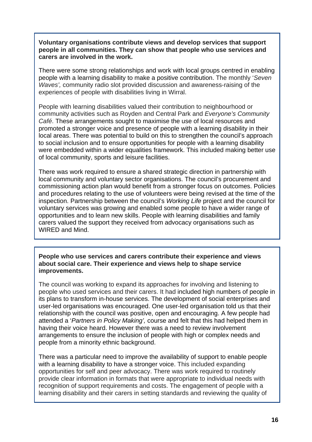**Voluntary organisations contribute views and develop services that support people in all communities. They can show that people who use services and carers are involved in the work.** 

There were some strong relationships and work with local groups centred in enabling people with a learning disability to make a positive contribution. The monthly '*Seven Waves',* community radio slot provided discussion and awareness-raising of the experiences of people with disabilities living in Wirral.

People with learning disabilities valued their contribution to neighbourhood or community activities such as Royden and Central Park and *Everyone's Community Café*. These arrangements sought to maximise the use of local resources and promoted a stronger voice and presence of people with a learning disability in their local areas. There was potential to build on this to strengthen the council's approach to social inclusion and to ensure opportunities for people with a learning disability were embedded within a wider equalities framework. This included making better use of local community, sports and leisure facilities.

There was work required to ensure a shared strategic direction in partnership with local community and voluntary sector organisations. The council's procurement and commissioning action plan would benefit from a stronger focus on outcomes. Policies and procedures relating to the use of volunteers were being revised at the time of the inspection. Partnership between the council's *Working Life* project and the council for voluntary services was growing and enabled some people to have a wider range of opportunities and to learn new skills. People with learning disabilities and family carers valued the support they received from advocacy organisations such as WIRED and Mind.

**People who use services and carers contribute their experience and views about social care. Their experience and views help to shape service improvements.** 

The council was working to expand its approaches for involving and listening to people who used services and their carers. It had included high numbers of people in its plans to transform in-house services. The development of social enterprises and user-led organisations was encouraged. One user-led organisation told us that their relationship with the council was positive, open and encouraging. A few people had attended a '*Partners in Policy Making',* course and felt that this had helped them in having their voice heard. However there was a need to review involvement arrangements to ensure the inclusion of people with high or complex needs and people from a minority ethnic background.

There was a particular need to improve the availability of support to enable people with a learning disability to have a stronger voice. This included expanding opportunities for self and peer advocacy. There was work required to routinely provide clear information in formats that were appropriate to individual needs with recognition of support requirements and costs. The engagement of people with a learning disability and their carers in setting standards and reviewing the quality of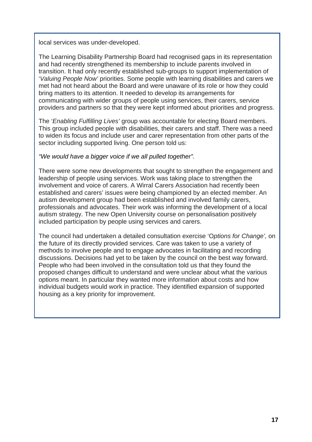local services was under-developed.

The Learning Disability Partnership Board had recognised gaps in its representation and had recently strengthened its membership to include parents involved in transition. It had only recently established sub-groups to support implementation of '*Valuing People Now'* priorities. Some people with learning disabilities and carers we met had not heard about the Board and were unaware of its role or how they could bring matters to its attention. It needed to develop its arrangements for communicating with wider groups of people using services, their carers, service providers and partners so that they were kept informed about priorities and progress.

The '*Enabling Fulfilling Lives'* group was accountable for electing Board members. This group included people with disabilities, their carers and staff. There was a need to widen its focus and include user and carer representation from other parts of the sector including supported living. One person told us:

#### *"We would have a bigger voice if we all pulled together".*

There were some new developments that sought to strengthen the engagement and leadership of people using services. Work was taking place to strengthen the involvement and voice of carers. A Wirral Carers Association had recently been established and carers' issues were being championed by an elected member. An autism development group had been established and involved family carers, professionals and advocates. Their work was informing the development of a local autism strategy. The new Open University course on personalisation positively included participation by people using services and carers.

The council had undertaken a detailed consultation exercise 'O*ptions for Change',* on the future of its directly provided services. Care was taken to use a variety of methods to involve people and to engage advocates in facilitating and recording discussions. Decisions had yet to be taken by the council on the best way forward. People who had been involved in the consultation told us that they found the proposed changes difficult to understand and were unclear about what the various options meant. In particular they wanted more information about costs and how individual budgets would work in practice. They identified expansion of supported housing as a key priority for improvement.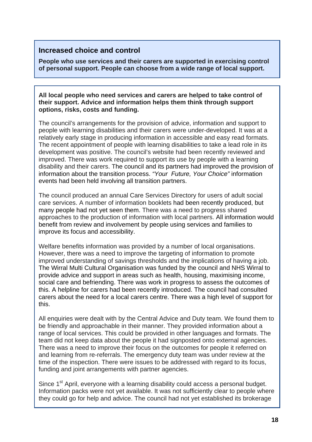## **Increased choice and control**

**People who use services and their carers are supported in exercising control of personal support. People can choose from a wide range of local support.**

**All local people who need services and carers are helped to take control of their support. Advice and information helps them think through support options, risks, costs and funding.** 

The council's arrangements for the provision of advice, information and support to people with learning disabilities and their carers were under-developed. It was at a relatively early stage in producing information in accessible and easy read formats. The recent appointment of people with learning disabilities to take a lead role in its development was positive. The council's website had been recently reviewed and improved. There was work required to support its use by people with a learning disability and their carers. The council and its partners had improved the provision of information about the transition process. *"Your Future, Your Choice"* information events had been held involving all transition partners.

The council produced an annual Care Services Directory for users of adult social care services. A number of information booklets had been recently produced, but many people had not yet seen them. There was a need to progress shared approaches to the production of information with local partners. All information would benefit from review and involvement by people using services and families to improve its focus and accessibility.

Welfare benefits information was provided by a number of local organisations. However, there was a need to improve the targeting of information to promote improved understanding of savings thresholds and the implications of having a job. The Wirral Multi Cultural Organisation was funded by the council and NHS Wirral to provide advice and support in areas such as health, housing, maximising income, social care and befriending. There was work in progress to assess the outcomes of this. A helpline for carers had been recently introduced. The council had consulted carers about the need for a local carers centre. There was a high level of support for this.

All enquiries were dealt with by the Central Advice and Duty team. We found them to be friendly and approachable in their manner. They provided information about a range of local services. This could be provided in other languages and formats. The team did not keep data about the people it had signposted onto external agencies. There was a need to improve their focus on the outcomes for people it referred on and learning from re-referrals. The emergency duty team was under review at the time of the inspection. There were issues to be addressed with regard to its focus, funding and joint arrangements with partner agencies.

Since 1<sup>st</sup> April, everyone with a learning disability could access a personal budget. Information packs were not yet available. It was not sufficiently clear to people where they could go for help and advice. The council had not yet established its brokerage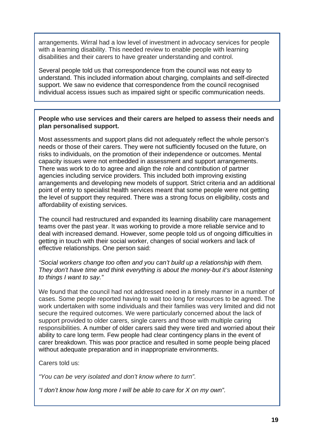arrangements. Wirral had a low level of investment in advocacy services for people with a learning disability. This needed review to enable people with learning disabilities and their carers to have greater understanding and control.

Several people told us that correspondence from the council was not easy to understand. This included information about charging, complaints and self-directed support. We saw no evidence that correspondence from the council recognised individual access issues such as impaired sight or specific communication needs.

#### **People who use services and their carers are helped to assess their needs and plan personalised support.**

Most assessments and support plans did not adequately reflect the whole person's needs or those of their carers. They were not sufficiently focused on the future, on risks to individuals, on the promotion of their independence or outcomes. Mental capacity issues were not embedded in assessment and support arrangements. There was work to do to agree and align the role and contribution of partner agencies including service providers. This included both improving existing arrangements and developing new models of support. Strict criteria and an additional point of entry to specialist health services meant that some people were not getting the level of support they required. There was a strong focus on eligibility, costs and affordability of existing services.

The council had restructured and expanded its learning disability care management teams over the past year. It was working to provide a more reliable service and to deal with increased demand. However, some people told us of ongoing difficulties in getting in touch with their social worker, changes of social workers and lack of effective relationships. One person said:

*"Social workers change too often and you can't build up a relationship with them. They don't have time and think everything is about the money-but it's about listening to things I want to say."*

We found that the council had not addressed need in a timely manner in a number of cases. Some people reported having to wait too long for resources to be agreed. The work undertaken with some individuals and their families was very limited and did not secure the required outcomes. We were particularly concerned about the lack of support provided to older carers, single carers and those with multiple caring responsibilities. A number of older carers said they were tired and worried about their ability to care long term. Few people had clear contingency plans in the event of carer breakdown. This was poor practice and resulted in some people being placed without adequate preparation and in inappropriate environments.

Carers told us:

*"You can be very isolated and don't know where to turn".* 

*"I don't know how long more I will be able to care for X on my own".*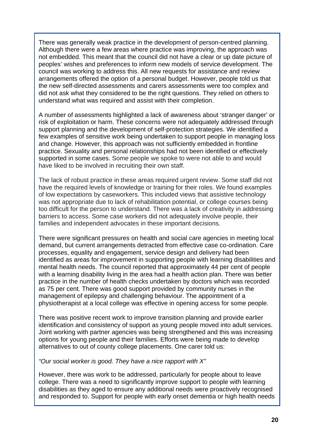There was generally weak practice in the development of person-centred planning. Although there were a few areas where practice was improving, the approach was not embedded. This meant that the council did not have a clear or up date picture of peoples' wishes and preferences to inform new models of service development. The council was working to address this. All new requests for assistance and review arrangements offered the option of a personal budget. However, people told us that the new self-directed assessments and carers assessments were too complex and did not ask what they considered to be the right questions. They relied on others to understand what was required and assist with their completion.

A number of assessments highlighted a lack of awareness about 'stranger danger' or risk of exploitation or harm. These concerns were not adequately addressed through support planning and the development of self-protection strategies. We identified a few examples of sensitive work being undertaken to support people in managing loss and change. However, this approach was not sufficiently embedded in frontline practice. Sexuality and personal relationships had not been identified or effectively supported in some cases. Some people we spoke to were not able to and would have liked to be involved in recruiting their own staff.

The lack of robust practice in these areas required urgent review. Some staff did not have the required levels of knowledge or training for their roles. We found examples of low expectations by caseworkers. This included views that assistive technology was not appropriate due to lack of rehabilitation potential, or college courses being too difficult for the person to understand. There was a lack of creativity in addressing barriers to access. Some case workers did not adequately involve people, their families and independent advocates in these important decisions.

There were significant pressures on health and social care agencies in meeting local demand, but current arrangements detracted from effective case co-ordination. Care processes, equality and engagement, service design and delivery had been identified as areas for improvement in supporting people with learning disabilities and mental health needs. The council reported that approximately 44 per cent of people with a learning disability living in the area had a health action plan. There was better practice in the number of health checks undertaken by doctors which was recorded as 75 per cent. There was good support provided by community nurses in the management of epilepsy and challenging behaviour. The appointment of a physiotherapist at a local college was effective in opening access for some people.

There was positive recent work to improve transition planning and provide earlier identification and consistency of support as young people moved into adult services. Joint working with partner agencies was being strengthened and this was increasing options for young people and their families. Efforts were being made to develop alternatives to out of county college placements. One carer told us:

#### *"Our social worker is good. They have a nice rapport with X"*

However, there was work to be addressed, particularly for people about to leave college. There was a need to significantly improve support to people with learning disabilities as they aged to ensure any additional needs were proactively recognised and responded to. Support for people with early onset dementia or high health needs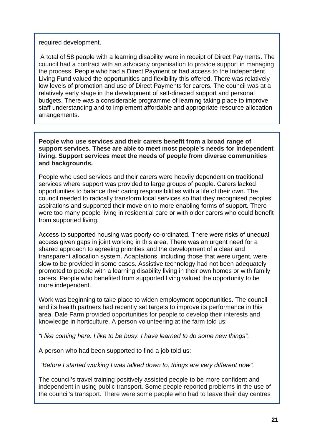#### required development.

 A total of 58 people with a learning disability were in receipt of Direct Payments. The council had a contract with an advocacy organisation to provide support in managing the process. People who had a Direct Payment or had access to the Independent Living Fund valued the opportunities and flexibility this offered. There was relatively low levels of promotion and use of Direct Payments for carers. The council was at a relatively early stage in the development of self-directed support and personal budgets. There was a considerable programme of learning taking place to improve staff understanding and to implement affordable and appropriate resource allocation arrangements.

**People who use services and their carers benefit from a broad range of support services. These are able to meet most people's needs for independent living. Support services meet the needs of people from diverse communities and backgrounds.** 

People who used services and their carers were heavily dependent on traditional services where support was provided to large groups of people. Carers lacked opportunities to balance their caring responsibilities with a life of their own. The council needed to radically transform local services so that they recognised peoples' aspirations and supported their move on to more enabling forms of support. There were too many people living in residential care or with older carers who could benefit from supported living.

Access to supported housing was poorly co-ordinated. There were risks of unequal access given gaps in joint working in this area. There was an urgent need for a shared approach to agreeing priorities and the development of a clear and transparent allocation system. Adaptations, including those that were urgent, were slow to be provided in some cases. Assistive technology had not been adequately promoted to people with a learning disability living in their own homes or with family carers. People who benefited from supported living valued the opportunity to be more independent.

Work was beginning to take place to widen employment opportunities. The council and its health partners had recently set targets to improve its performance in this area. Dale Farm provided opportunities for people to develop their interests and knowledge in horticulture. A person volunteering at the farm told us:

*"I like coming here. I like to be busy. I have learned to do some new things".* 

A person who had been supported to find a job told us:

*"Before I started working I was talked down to, things are very different now".* 

The council's travel training positively assisted people to be more confident and independent in using public transport. Some people reported problems in the use of the council's transport. There were some people who had to leave their day centres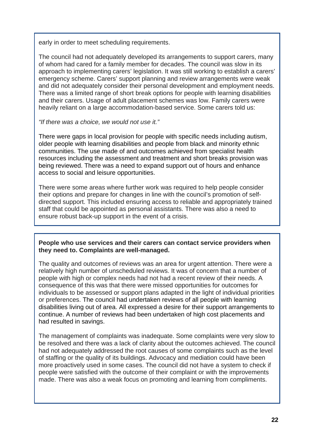early in order to meet scheduling requirements.

The council had not adequately developed its arrangements to support carers, many of whom had cared for a family member for decades. The council was slow in its approach to implementing carers' legislation. It was still working to establish a carers' emergency scheme. Carers' support planning and review arrangements were weak and did not adequately consider their personal development and employment needs. There was a limited range of short break options for people with learning disabilities and their carers. Usage of adult placement schemes was low. Family carers were heavily reliant on a large accommodation-based service. Some carers told us:

#### *"If there was a choice, we would not use it."*

There were gaps in local provision for people with specific needs including autism, older people with learning disabilities and people from black and minority ethnic communities. The use made of and outcomes achieved from specialist health resources including the assessment and treatment and short breaks provision was being reviewed. There was a need to expand support out of hours and enhance access to social and leisure opportunities.

There were some areas where further work was required to help people consider their options and prepare for changes in line with the council's promotion of selfdirected support. This included ensuring access to reliable and appropriately trained staff that could be appointed as personal assistants. There was also a need to ensure robust back-up support in the event of a crisis.

#### **People who use services and their carers can contact service providers when they need to. Complaints are well-managed.**

The quality and outcomes of reviews was an area for urgent attention. There were a relatively high number of unscheduled reviews. It was of concern that a number of people with high or complex needs had not had a recent review of their needs. A consequence of this was that there were missed opportunities for outcomes for individuals to be assessed or support plans adapted in the light of individual priorities or preferences. The council had undertaken reviews of all people with learning disabilities living out of area. All expressed a desire for their support arrangements to continue. A number of reviews had been undertaken of high cost placements and had resulted in savings.

The management of complaints was inadequate. Some complaints were very slow to be resolved and there was a lack of clarity about the outcomes achieved. The council had not adequately addressed the root causes of some complaints such as the level of staffing or the quality of its buildings. Advocacy and mediation could have been more proactively used in some cases. The council did not have a system to check if people were satisfied with the outcome of their complaint or with the improvements made. There was also a weak focus on promoting and learning from compliments.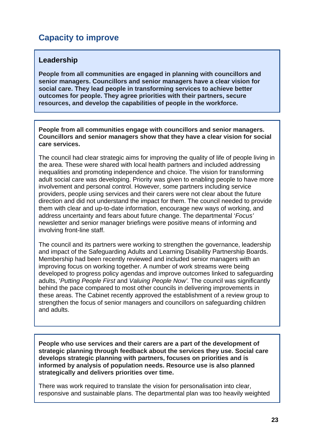# **Capacity to improve**

## **Leadership**

**People from all communities are engaged in planning with councillors and senior managers. Councillors and senior managers have a clear vision for social care. They lead people in transforming services to achieve better outcomes for people. They agree priorities with their partners, secure resources, and develop the capabilities of people in the workforce.** 

**People from all communities engage with councillors and senior managers. Councillors and senior managers show that they have a clear vision for social care services.**

The council had clear strategic aims for improving the quality of life of people living in the area. These were shared with local health partners and included addressing inequalities and promoting independence and choice. The vision for transforming adult social care was developing. Priority was given to enabling people to have more involvement and personal control. However, some partners including service providers, people using services and their carers were not clear about the future direction and did not understand the impact for them. The council needed to provide them with clear and up-to-date information, encourage new ways of working, and address uncertainty and fears about future change. The departmental '*Focus'*  newsletter and senior manager briefings were positive means of informing and involving front-line staff.

The council and its partners were working to strengthen the governance, leadership and impact of the Safeguarding Adults and Learning Disability Partnership Boards. Membership had been recently reviewed and included senior managers with an improving focus on working together. A number of work streams were being developed to progress policy agendas and improve outcomes linked to safeguarding adults, '*Putting People First* and *Valuing People Now'.* The council was significantly behind the pace compared to most other councils in delivering improvements in these areas. The Cabinet recently approved the establishment of a review group to strengthen the focus of senior managers and councillors on safeguarding children and adults.

**People who use services and their carers are a part of the development of strategic planning through feedback about the services they use. Social care develops strategic planning with partners, focuses on priorities and is informed by analysis of population needs. Resource use is also planned strategically and delivers priorities over time.** 

There was work required to translate the vision for personalisation into clear, responsive and sustainable plans. The departmental plan was too heavily weighted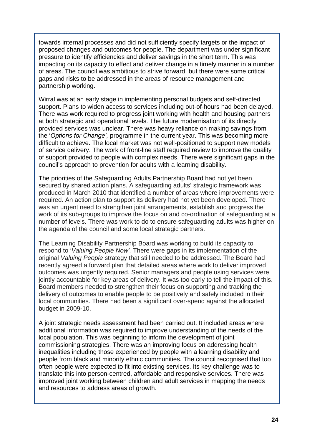towards internal processes and did not sufficiently specify targets or the impact of proposed changes and outcomes for people. The department was under significant pressure to identify efficiencies and deliver savings in the short term. This was impacting on its capacity to effect and deliver change in a timely manner in a number of areas. The council was ambitious to strive forward, but there were some critical gaps and risks to be addressed in the areas of resource management and partnership working.

Wirral was at an early stage in implementing personal budgets and self-directed support. Plans to widen access to services including out-of-hours had been delayed. There was work required to progress joint working with health and housing partners at both strategic and operational levels. The future modernisation of its directly provided services was unclear. There was heavy reliance on making savings from the '*Options for Change',* programme in the current year. This was becoming more difficult to achieve. The local market was not well-positioned to support new models of service delivery. The work of front-line staff required review to improve the quality of support provided to people with complex needs. There were significant gaps in the council's approach to prevention for adults with a learning disability.

The priorities of the Safeguarding Adults Partnership Board had not yet been secured by shared action plans. A safeguarding adults' strategic framework was produced in March 2010 that identified a number of areas where improvements were required. An action plan to support its delivery had not yet been developed. There was an urgent need to strengthen joint arrangements, establish and progress the work of its sub-groups to improve the focus on and co-ordination of safeguarding at a number of levels. There was work to do to ensure safeguarding adults was higher on the agenda of the council and some local strategic partners.

The Learning Disability Partnership Board was working to build its capacity to respond to '*Valuing People Now'.* There were gaps in its implementation of the original *Valuing People* strategy that still needed to be addressed. The Board had recently agreed a forward plan that detailed areas where work to deliver improved outcomes was urgently required. Senior managers and people using services were jointly accountable for key areas of delivery. It was too early to tell the impact of this. Board members needed to strengthen their focus on supporting and tracking the delivery of outcomes to enable people to be positively and safely included in their local communities. There had been a significant over-spend against the allocated budget in 2009-10.

A joint strategic needs assessment had been carried out. It included areas where additional information was required to improve understanding of the needs of the local population. This was beginning to inform the development of joint commissioning strategies. There was an improving focus on addressing health inequalities including those experienced by people with a learning disability and people from black and minority ethnic communities. The council recognised that too often people were expected to fit into existing services. Its key challenge was to translate this into person-centred, affordable and responsive services. There was improved joint working between children and adult services in mapping the needs and resources to address areas of growth.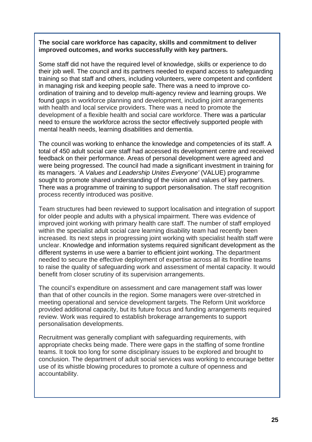#### **The social care workforce has capacity, skills and commitment to deliver improved outcomes, and works successfully with key partners.**

Some staff did not have the required level of knowledge, skills or experience to do their job well. The council and its partners needed to expand access to safeguarding training so that staff and others, including volunteers, were competent and confident in managing risk and keeping people safe. There was a need to improve coordination of training and to develop multi-agency review and learning groups. We found gaps in workforce planning and development, including joint arrangements with health and local service providers. There was a need to promote the development of a flexible health and social care workforce. There was a particular need to ensure the workforce across the sector effectively supported people with mental health needs, learning disabilities and dementia.

The council was working to enhance the knowledge and competencies of its staff. A total of 450 adult social care staff had accessed its development centre and received feedback on their performance. Areas of personal development were agreed and were being progressed. The council had made a significant investment in training for its managers. 'A *Values and Leadership Unites Everyone'* (VALUE) programme sought to promote shared understanding of the vision and values of key partners. There was a programme of training to support personalisation. The staff recognition process recently introduced was positive.

Team structures had been reviewed to support localisation and integration of support for older people and adults with a physical impairment. There was evidence of improved joint working with primary health care staff. The number of staff employed within the specialist adult social care learning disability team had recently been increased. Its next steps in progressing joint working with specialist health staff were unclear. Knowledge and information systems required significant development as the different systems in use were a barrier to efficient joint working. The department needed to secure the effective deployment of expertise across all its frontline teams to raise the quality of safeguarding work and assessment of mental capacity. It would benefit from closer scrutiny of its supervision arrangements.

The council's expenditure on assessment and care management staff was lower than that of other councils in the region. Some managers were over-stretched in meeting operational and service development targets. The Reform Unit workforce provided additional capacity, but its future focus and funding arrangements required review. Work was required to establish brokerage arrangements to support personalisation developments.

Recruitment was generally compliant with safeguarding requirements, with appropriate checks being made. There were gaps in the staffing of some frontline teams. It took too long for some disciplinary issues to be explored and brought to conclusion. The department of adult social services was working to encourage better use of its whistle blowing procedures to promote a culture of openness and accountability.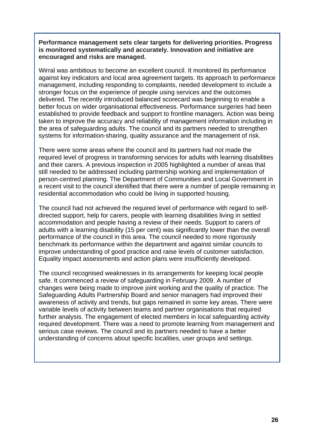**Performance management sets clear targets for delivering priorities. Progress is monitored systematically and accurately. Innovation and initiative are encouraged and risks are managed.** 

Wirral was ambitious to become an excellent council. It monitored its performance against key indicators and local area agreement targets. Its approach to performance management, including responding to complaints, needed development to include a stronger focus on the experience of people using services and the outcomes delivered. The recently introduced balanced scorecard was beginning to enable a better focus on wider organisational effectiveness. Performance surgeries had been established to provide feedback and support to frontline managers. Action was being taken to improve the accuracy and reliability of management information including in the area of safeguarding adults. The council and its partners needed to strengthen systems for information-sharing, quality assurance and the management of risk.

There were some areas where the council and its partners had not made the required level of progress in transforming services for adults with learning disabilities and their carers. A previous inspection in 2005 highlighted a number of areas that still needed to be addressed including partnership working and implementation of person-centred planning. The Department of Communities and Local Government in a recent visit to the council identified that there were a number of people remaining in residential accommodation who could be living in supported housing.

The council had not achieved the required level of performance with regard to selfdirected support, help for carers, people with learning disabilities living in settled accommodation and people having a review of their needs. Support to carers of adults with a learning disability (15 per cent) was significantly lower than the overall performance of the council in this area. The council needed to more rigorously benchmark its performance within the department and against similar councils to improve understanding of good practice and raise levels of customer satisfaction. Equality impact assessments and action plans were insufficiently developed.

The council recognised weaknesses in its arrangements for keeping local people safe. It commenced a review of safeguarding in February 2009. A number of changes were being made to improve joint working and the quality of practice. The Safeguarding Adults Partnership Board and senior managers had improved their awareness of activity and trends, but gaps remained in some key areas. There were variable levels of activity between teams and partner organisations that required further analysis. The engagement of elected members in local safeguarding activity required development. There was a need to promote learning from management and serious case reviews. The council and its partners needed to have a better understanding of concerns about specific localities, user groups and settings.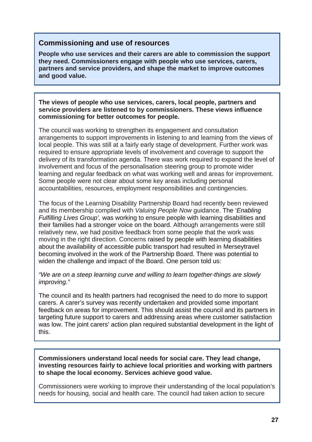## **Commissioning and use of resources**

**People who use services and their carers are able to commission the support they need. Commissioners engage with people who use services, carers, partners and service providers, and shape the market to improve outcomes and good value.** 

**The views of people who use services, carers, local people, partners and service providers are listened to by commissioners. These views influence commissioning for better outcomes for people.** 

The council was working to strengthen its engagement and consultation arrangements to support improvements in listening to and learning from the views of local people. This was still at a fairly early stage of development. Further work was required to ensure appropriate levels of involvement and coverage to support the delivery of its transformation agenda. There was work required to expand the level of involvement and focus of the personalisation steering group to promote wider learning and regular feedback on what was working well and areas for improvement. Some people were not clear about some key areas including personal accountabilities, resources, employment responsibilities and contingencies.

The focus of the Learning Disability Partnership Board had recently been reviewed and its membership complied with *Valuing People Now* guidance. The '*Enabling Fulfilling Lives Group',* was working to ensure people with learning disabilities and their families had a stronger voice on the board. Although arrangements were still relatively new, we had positive feedback from some people that the work was moving in the right direction. Concerns raised by people with learning disabilities about the availability of accessible public transport had resulted in Merseytravel becoming involved in the work of the Partnership Board. There was potential to widen the challenge and impact of the Board. One person told us:

*"We are on a steep learning curve and willing to learn together-things are slowly improving."* 

The council and its health partners had recognised the need to do more to support carers. A carer's survey was recently undertaken and provided some important feedback on areas for improvement. This should assist the council and its partners in targeting future support to carers and addressing areas where customer satisfaction was low. The joint carers' action plan required substantial development in the light of this.

**Commissioners understand local needs for social care. They lead change, investing resources fairly to achieve local priorities and working with partners to shape the local economy. Services achieve good value.** 

Commissioners were working to improve their understanding of the local population's needs for housing, social and health care. The council had taken action to secure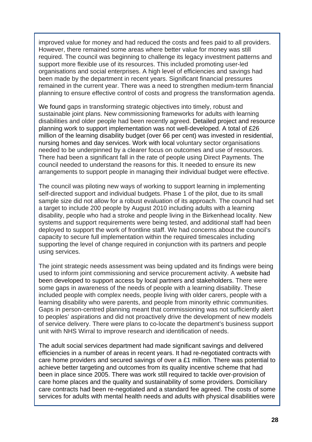improved value for money and had reduced the costs and fees paid to all providers. However, there remained some areas where better value for money was still required. The council was beginning to challenge its legacy investment patterns and support more flexible use of its resources. This included promoting user-led organisations and social enterprises. A high level of efficiencies and savings had been made by the department in recent years. Significant financial pressures remained in the current year. There was a need to strengthen medium-term financial planning to ensure effective control of costs and progress the transformation agenda.

We found gaps in transforming strategic objectives into timely, robust and sustainable joint plans. New commissioning frameworks for adults with learning disabilities and older people had been recently agreed. Detailed project and resource planning work to support implementation was not well-developed. A total of £26 million of the learning disability budget (over 66 per cent) was invested in residential, nursing homes and day services. Work with local voluntary sector organisations needed to be underpinned by a clearer focus on outcomes and use of resources. There had been a significant fall in the rate of people using Direct Payments. The council needed to understand the reasons for this. It needed to ensure its new arrangements to support people in managing their individual budget were effective.

The council was piloting new ways of working to support learning in implementing self-directed support and individual budgets. Phase 1 of the pilot, due to its small sample size did not allow for a robust evaluation of its approach. The council had set a target to include 200 people by August 2010 including adults with a learning disability, people who had a stroke and people living in the Birkenhead locality. New systems and support requirements were being tested, and additional staff had been deployed to support the work of frontline staff. We had concerns about the council's capacity to secure full implementation within the required timescales including supporting the level of change required in conjunction with its partners and people using services.

The joint strategic needs assessment was being updated and its findings were being used to inform joint commissioning and service procurement activity. A website had been developed to support access by local partners and stakeholders. There were some gaps in awareness of the needs of people with a learning disability. These included people with complex needs, people living with older carers, people with a learning disability who were parents, and people from minority ethnic communities. Gaps in person-centred planning meant that commissioning was not sufficiently alert to peoples' aspirations and did not proactively drive the development of new models of service delivery. There were plans to co-locate the department's business support unit with NHS Wirral to improve research and identification of needs.

The adult social services department had made significant savings and delivered efficiencies in a number of areas in recent years. It had re-negotiated contracts with care home providers and secured savings of over a £1 million. There was potential to achieve better targeting and outcomes from its quality incentive scheme that had been in place since 2005. There was work still required to tackle over-provision of care home places and the quality and sustainability of some providers. Domiciliary care contracts had been re-negotiated and a standard fee agreed. The costs of some services for adults with mental health needs and adults with physical disabilities were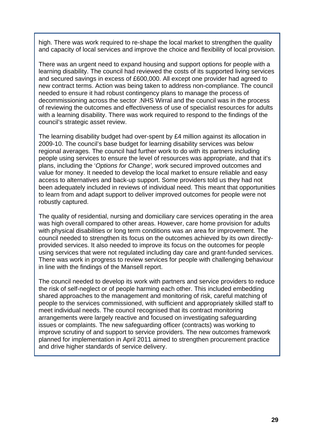high. There was work required to re-shape the local market to strengthen the quality and capacity of local services and improve the choice and flexibility of local provision.

There was an urgent need to expand housing and support options for people with a learning disability. The council had reviewed the costs of its supported living services and secured savings in excess of £600,000. All except one provider had agreed to new contract terms. Action was being taken to address non-compliance. The council needed to ensure it had robust contingency plans to manage the process of decommissioning across the sector .NHS Wirral and the council was in the process of reviewing the outcomes and effectiveness of use of specialist resources for adults with a learning disability. There was work required to respond to the findings of the council's strategic asset review.

The learning disability budget had over-spent by £4 million against its allocation in 2009-10. The council's base budget for learning disability services was below regional averages. The council had further work to do with its partners including people using services to ensure the level of resources was appropriate, and that it's plans, including the '*Options for Change',* work secured improved outcomes and value for money. It needed to develop the local market to ensure reliable and easy access to alternatives and back-up support. Some providers told us they had not been adequately included in reviews of individual need. This meant that opportunities to learn from and adapt support to deliver improved outcomes for people were not robustly captured.

The quality of residential, nursing and domiciliary care services operating in the area was high overall compared to other areas. However, care home provision for adults with physical disabilities or long term conditions was an area for improvement. The council needed to strengthen its focus on the outcomes achieved by its own directlyprovided services. It also needed to improve its focus on the outcomes for people using services that were not regulated including day care and grant-funded services. There was work in progress to review services for people with challenging behaviour in line with the findings of the Mansell report.

The council needed to develop its work with partners and service providers to reduce the risk of self-neglect or of people harming each other. This included embedding shared approaches to the management and monitoring of risk, careful matching of people to the services commissioned, with sufficient and appropriately skilled staff to meet individual needs. The council recognised that its contract monitoring arrangements were largely reactive and focused on investigating safeguarding issues or complaints. The new safeguarding officer (contracts) was working to improve scrutiny of and support to service providers. The new outcomes framework planned for implementation in April 2011 aimed to strengthen procurement practice and drive higher standards of service delivery.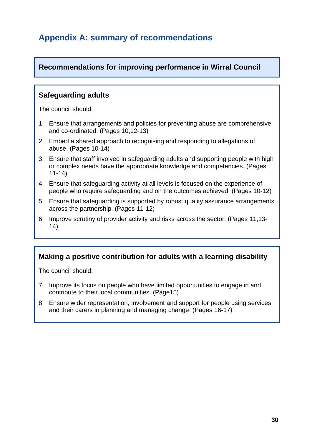# **Appendix A: summary of recommendations**

## **Recommendations for improving performance in Wirral Council**

## **Safeguarding adults**

The council should:

- 1. Ensure that arrangements and policies for preventing abuse are comprehensive and co-ordinated. (Pages 10,12-13)
- 2. Embed a shared approach to recognising and responding to allegations of abuse. (Pages 10-14)
- 3. Ensure that staff involved in safeguarding adults and supporting people with high or complex needs have the appropriate knowledge and competencies. (Pages 11-14)
- 4. Ensure that safeguarding activity at all levels is focused on the experience of people who require safeguarding and on the outcomes achieved. (Pages 10-12)
- 5. Ensure that safeguarding is supported by robust quality assurance arrangements across the partnership. (Pages 11-12)
- 6. Improve scrutiny of provider activity and risks across the sector. (Pages 11,13- 14)

## **Making a positive contribution for adults with a learning disability**

The council should:

- 7. Improve its focus on people who have limited opportunities to engage in and contribute to their local communities. (Page15)
- 8. Ensure wider representation, involvement and support for people using services and their carers in planning and managing change. (Pages 16-17)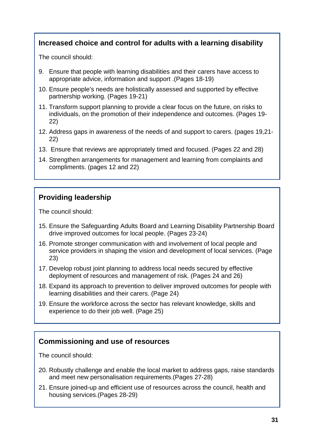## **Increased choice and control for adults with a learning disability**

The council should:

- 9. Ensure that people with learning disabilities and their carers have access to appropriate advice, information and support .(Pages 18-19)
- 10. Ensure people's needs are holistically assessed and supported by effective partnership working. (Pages 19-21)
- 11. Transform support planning to provide a clear focus on the future, on risks to individuals, on the promotion of their independence and outcomes. (Pages 19- 22)
- 12. Address gaps in awareness of the needs of and support to carers. (pages 19,21- 22)
- 13. Ensure that reviews are appropriately timed and focused. (Pages 22 and 28)
- 14. Strengthen arrangements for management and learning from complaints and compliments. (pages 12 and 22)

## **Providing leadership**

The council should:

- 15. Ensure the Safeguarding Adults Board and Learning Disability Partnership Board drive improved outcomes for local people. (Pages 23-24)
- 16. Promote stronger communication with and involvement of local people and service providers in shaping the vision and development of local services. (Page 23)
- 17. Develop robust joint planning to address local needs secured by effective deployment of resources and management of risk. (Pages 24 and 26)
- 18. Expand its approach to prevention to deliver improved outcomes for people with learning disabilities and their carers. (Page 24)
- 19. Ensure the workforce across the sector has relevant knowledge, skills and experience to do their job well. (Page 25)

## **Commissioning and use of resources**

The council should:

- 20. Robustly challenge and enable the local market to address gaps, raise standards and meet new personalisation requirements.(Pages 27-28)
- 21. Ensure joined-up and efficient use of resources across the council, health and housing services.(Pages 28-29)